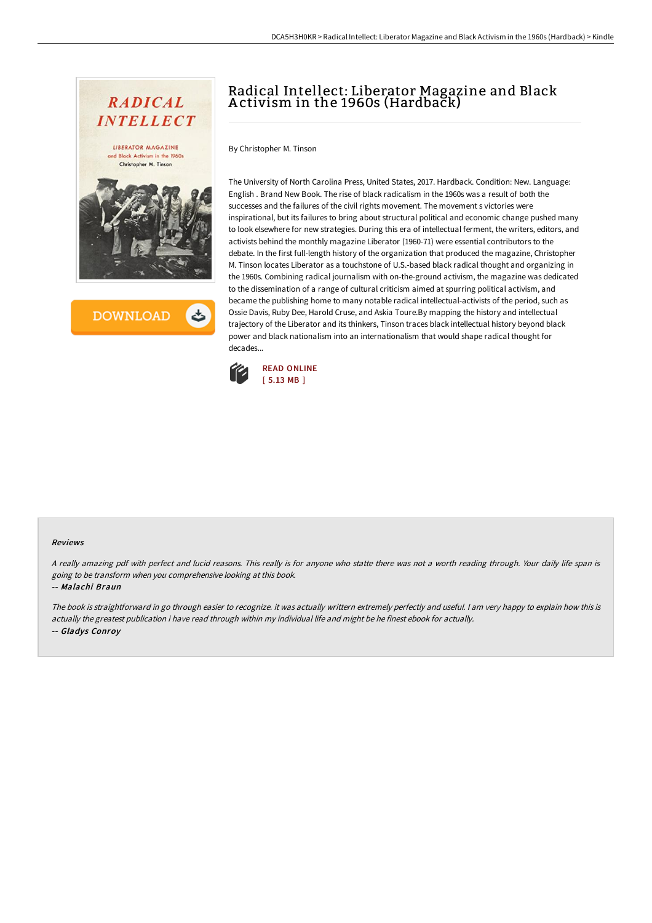

**DOWNLOAD** 

# Radical Intellect: Liberator Magazine and Black A ctivism in the 1960s (Hardback)

By Christopher M. Tinson

The University of North Carolina Press, United States, 2017. Hardback. Condition: New. Language: English . Brand New Book. The rise of black radicalism in the 1960s was a result of both the successes and the failures of the civil rights movement. The movement s victories were inspirational, but its failures to bring about structural political and economic change pushed many to look elsewhere for new strategies. During this era of intellectual ferment, the writers, editors, and activists behind the monthly magazine Liberator (1960-71) were essential contributors to the debate. In the first full-length history of the organization that produced the magazine, Christopher M. Tinson locates Liberator as a touchstone of U.S.-based black radical thought and organizing in the 1960s. Combining radical journalism with on-the-ground activism, the magazine was dedicated to the dissemination of a range of cultural criticism aimed at spurring political activism, and became the publishing home to many notable radical intellectual-activists of the period, such as Ossie Davis, Ruby Dee, Harold Cruse, and Askia Toure.By mapping the history and intellectual trajectory of the Liberator and its thinkers, Tinson traces black intellectual history beyond black power and black nationalism into an internationalism that would shape radical thought for decades...



### Reviews

<sup>A</sup> really amazing pdf with perfect and lucid reasons. This really is for anyone who statte there was not <sup>a</sup> worth reading through. Your daily life span is going to be transform when you comprehensive looking at this book.

### -- Malachi Braun

The book is straightforward in go through easier to recognize. it was actually writtern extremely perfectly and useful. <sup>I</sup> am very happy to explain how this is actually the greatest publication i have read through within my individual life and might be he finest ebook for actually. -- Gladys Conroy